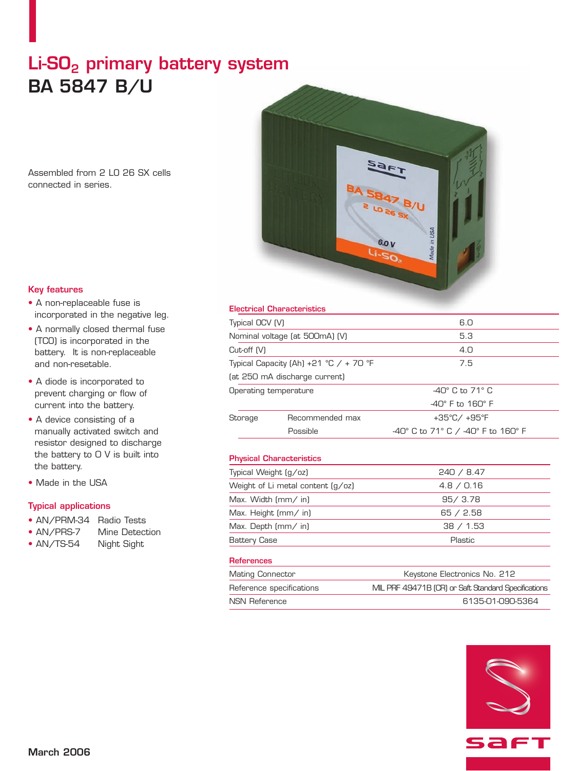# Li-SO<sub>2</sub> primary battery system **BA 5847 B/U**

Assembled from 2 LO 26 SX cells connected in series.



### **Key features**

- A non-replaceable fuse is incorporated in the negative leg.
- A normally closed thermal fuse (TCO) is incorporated in the battery. It is non-replaceable and non-resetable.
- A diode is incorporated to prevent charging or flow of current into the battery.
- A device consisting of a manually activated switch and resistor designed to discharge the battery to 0 V is built into the battery.
- Made in the USA

# **Typical applications**

- AN/PRM-34 Radio Tests
- AN/PRS-7 Mine Detection
- AN/TS-54 Night Sight

#### **Electrical Characteristics**

| Typical OCV (V)                        |                               | 6.0                                |
|----------------------------------------|-------------------------------|------------------------------------|
| Nominal voltage (at 500mA) (V)         |                               | 5.3                                |
| $Cut-off$ $(V)$                        |                               | 4.0                                |
| Typical Capacity (Ah) +21 °C / + 70 °F |                               | 7.5                                |
|                                        | (at 250 mA discharge current) |                                    |
| Operating temperature                  |                               | $-40^\circ$ C to 71 $^\circ$ C     |
|                                        |                               | $-40^\circ$ F to 160 $^\circ$ F    |
| Storage                                | Recommended max               | +35°C/+95°F                        |
|                                        | Possible                      | -40° C to 71° C / -40° F to 160° F |
|                                        |                               |                                    |

# **Physical Characteristics**

| Typical Weight (g/oz)             | 240 / 8.47 |
|-----------------------------------|------------|
| Weight of Li metal content (g/oz) | 4.8 / 0.16 |
| Max. Width $\text{mm}/\text{in}$  | 95/3.78    |
| Max. Height (mm/ in)              | 65 / 2.58  |
| Max. Depth $\text{mm}/\text{in}$  | 38 / 1.53  |
| <b>Battery Case</b>               | Plastic    |
| <b>References</b>                 |            |

| <b>Mating Connector</b>  | Keystone Electronics No. 212                        |
|--------------------------|-----------------------------------------------------|
| Reference specifications | MIL PRF 49471B (CR) or Saft Standard Specifications |
| NSN Reference            | 6135-01-090-5364                                    |